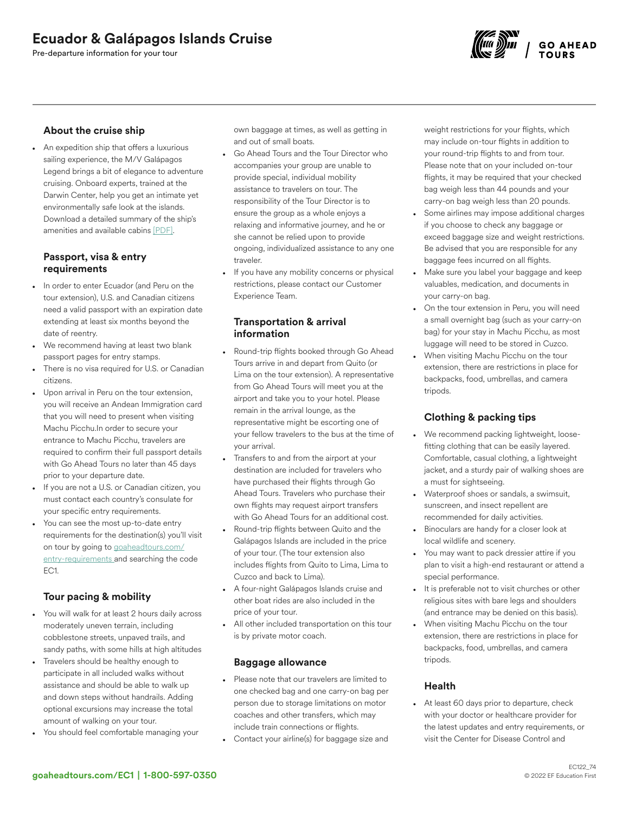# Ecuador & Galápagos Islands Cruise

Pre-departure information for your tour



### About the cruise ship

• An expedition ship that offers a luxurious sailing experience, the M/V Galápagos Legend brings a bit of elegance to adventure cruising. Onboard experts, trained at the Darwin Center, help you get an intimate yet environmentally safe look at the islands. Download a detailed summary of the ship's amenities and available cabins [\[](https://images.goaheadtours.com/Files/8638/Cruise%20Sheet%20ECU.pdf)[PDF](https://a.storyblok.com/f/53624/x/6cfc70893d/cruise-sheet%20ecu%203-8-17.pdf)[\]](https://images.goaheadtours.com/Files/8638/Cruise%20Sheet%20ECU.pdf).

#### Passport, visa & entry requirements

- In order to enter Ecuador (and Peru on the tour extension), U.S. and Canadian citizens need a valid passport with an expiration date extending at least six months beyond the date of reentry.
- We recommend having at least two blank passport pages for entry stamps.
- There is no visa required for U.S. or Canadian citizens.
- Upon arrival in Peru on the tour extension, you will receive an Andean Immigration card that you will need to present when visiting Machu Picchu.In order to secure your entrance to Machu Picchu, travelers are required to confirm their full passport details with Go Ahead Tours no later than 45 days prior to your departure date.
- If you are not a U.S. or Canadian citizen, you must contact each country's consulate for your specific entry requirements.
- You can see the most up-to-date entry requirements for the destination(s) you'll visit on tour by going to [goaheadtours.com/](/entry-requirements?tourCode=EC1) [entry-requirements](/entry-requirements?tourCode=EC1) and searching the code EC1.

# Tour pacing & mobility

- You will walk for at least 2 hours daily across moderately uneven terrain, including cobblestone streets, unpaved trails, and sandy paths, with some hills at high altitudes
- Travelers should be healthy enough to participate in all included walks without assistance and should be able to walk up and down steps without handrails. Adding optional excursions may increase the total amount of walking on your tour.
- You should feel comfortable managing your

own baggage at times, as well as getting in and out of small boats.

- Go Ahead Tours and the Tour Director who accompanies your group are unable to provide special, individual mobility assistance to travelers on tour. The responsibility of the Tour Director is to ensure the group as a whole enjoys a relaxing and informative journey, and he or she cannot be relied upon to provide ongoing, individualized assistance to any one traveler.
- If you have any mobility concerns or physical restrictions, please contact our Customer Experience Team.

#### Transportation & arrival information

- Round-trip flights booked through Go Ahead Tours arrive in and depart from Quito (or Lima on the tour extension). A representative from Go Ahead Tours will meet you at the airport and take you to your hotel. Please remain in the arrival lounge, as the representative might be escorting one of your fellow travelers to the bus at the time of your arrival.
- Transfers to and from the airport at your destination are included for travelers who have purchased their flights through Go Ahead Tours. Travelers who purchase their own flights may request airport transfers with Go Ahead Tours for an additional cost.
- Round-trip flights between Quito and the Galápagos Islands are included in the price of your tour. (The tour extension also includes flights from Quito to Lima, Lima to Cuzco and back to Lima).
- A four-night Galápagos Islands cruise and other boat rides are also included in the price of your tour.
- All other included transportation on this tour is by private motor coach.

#### Baggage allowance

- Please note that our travelers are limited to one checked bag and one carry-on bag per person due to storage limitations on motor coaches and other transfers, which may include train connections or flights.
- Contact your airline(s) for baggage size and

weight restrictions for your flights, which may include on-tour flights in addition to your round-trip flights to and from tour. Please note that on your included on-tour flights, it may be required that your checked bag weigh less than 44 pounds and your carry-on bag weigh less than 20 pounds.

- Some airlines may impose additional charges if you choose to check any baggage or exceed baggage size and weight restrictions. Be advised that you are responsible for any baggage fees incurred on all flights.
- Make sure you label your baggage and keep valuables, medication, and documents in your carry-on bag.
- On the tour extension in Peru, you will need a small overnight bag (such as your carry-on bag) for your stay in Machu Picchu, as most luggage will need to be stored in Cuzco.
- When visiting Machu Picchu on the tour extension, there are restrictions in place for backpacks, food, umbrellas, and camera tripods.

# Clothing & packing tips

- We recommend packing lightweight, loosefitting clothing that can be easily layered. Comfortable, casual clothing, a lightweight jacket, and a sturdy pair of walking shoes are a must for sightseeing.
- Waterproof shoes or sandals, a swimsuit, sunscreen, and insect repellent are recommended for daily activities.
- Binoculars are handy for a closer look at local wildlife and scenery.
- You may want to pack dressier attire if you plan to visit a high-end restaurant or attend a special performance.
- It is preferable not to visit churches or other religious sites with bare legs and shoulders (and entrance may be denied on this basis).
- When visiting Machu Picchu on the tour extension, there are restrictions in place for backpacks, food, umbrellas, and camera tripods.

#### Health

At least 60 days prior to departure, check with your doctor or healthcare provider for the latest updates and entry requirements, or visit the Center for Disease Control and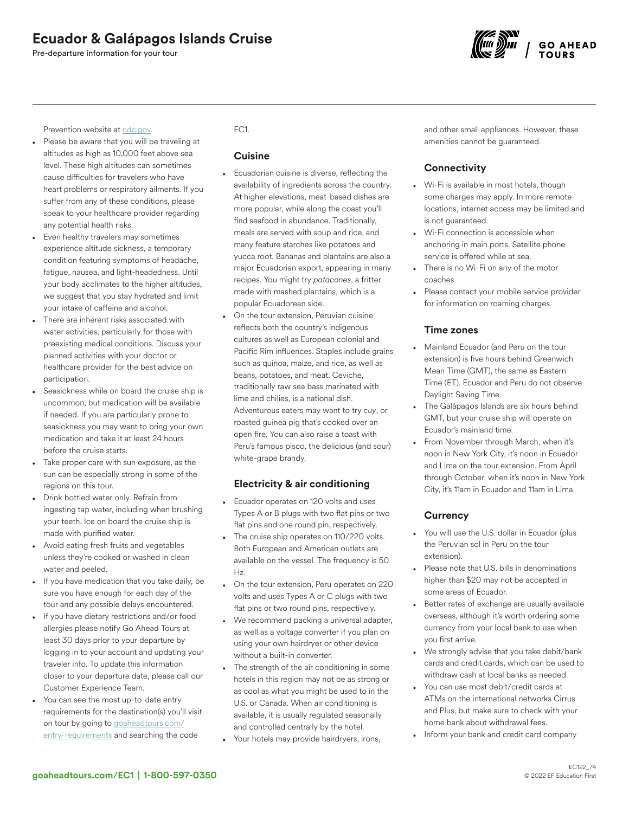# Ecuador & Galápagos Islands Cruise

Pre-departure information for your tour



Prevention website at [cdc.gov](https://www.cdc.gov/).

- Please be aware that you will be traveling at altitudes as high as 10,000 feet above sea level. These high altitudes can sometimes cause difficulties for travelers who have heart problems or respiratory ailments. If you suffer from any of these conditions, please speak to your healthcare provider regarding any potential health risks.
- Even healthy travelers may sometimes experience altitude sickness, a temporary condition featuring symptoms of headache, fatigue, nausea, and light-headedness. Until your body acclimates to the higher altitudes, we suggest that you stay hydrated and limit your intake of caffeine and alcohol.
- There are inherent risks associated with water activities, particularly for those with preexisting medical conditions. Discuss your planned activities with your doctor or healthcare provider for the best advice on participation.
- Seasickness while on board the cruise ship is uncommon, but medication will be available if needed. If you are particularly prone to seasickness you may want to bring your own medication and take it at least 24 hours before the cruise starts.
- Take proper care with sun exposure, as the sun can be especially strong in some of the regions on this tour.
- Drink bottled water only. Refrain from ingesting tap water, including when brushing your teeth. Ice on board the cruise ship is made with purified water.
- Avoid eating fresh fruits and vegetables unless they're cooked or washed in clean water and peeled.
- If you have medication that you take daily, be sure you have enough for each day of the tour and any possible delays encountered.
- If you have dietary restrictions and/or food allergies please notify Go Ahead Tours at least 30 days prior to your departure by logging in to your account and updating your traveler info. To update this information closer to your departure date, please call our Customer Experience Team.
- You can see the most up-to-date entry requirements for the destination(s) you'll visit on tour by going to [goaheadtours.com/](/entry-requirements?tourCode=EC1) [entry-requirements](/entry-requirements?tourCode=EC1) and searching the code

### EC1.

#### Cuisine

- Ecuadorian cuisine is diverse, reflecting the availability of ingredients across the country. At higher elevations, meat-based dishes are more popular, while along the coast you'll find seafood in abundance. Traditionally, meals are served with soup and rice, and many feature starches like potatoes and yucca root. Bananas and plantains are also a major Ecuadorian export, appearing in many recipes. You might try *patacones*, a fritter made with mashed plantains, which is a popular Ecuadorean side.
- On the tour extension, Peruvian cuisine reflects both the country's indigenous cultures as well as European colonial and Pacific Rim influences. Staples include grains such as quinoa, maize, and rice, as well as beans, potatoes, and meat. Ceviche, traditionally raw sea bass marinated with lime and chilies, is a national dish. Adventurous eaters may want to try *cuy*, or roasted guinea pig that's cooked over an open fire. You can also raise a toast with Peru's famous pisco, the delicious (and sour) white-grape brandy.

# Electricity & air conditioning

- Ecuador operates on 120 volts and uses Types A or B plugs with two flat pins or two flat pins and one round pin, respectively.
- The cruise ship operates on 110/220 volts. Both European and American outlets are available on the vessel. The frequency is 50 Hz.
- On the tour extension, Peru operates on 220 volts and uses Types A or C plugs with two flat pins or two round pins, respectively.
- We recommend packing a universal adapter, as well as a voltage converter if you plan on using your own hairdryer or other device without a built-in converter.
- The strength of the air conditioning in some hotels in this region may not be as strong or as cool as what you might be used to in the U.S. or Canada. When air conditioning is available, it is usually regulated seasonally and controlled centrally by the hotel.
- Your hotels may provide hairdryers, irons,

and other small appliances. However, these amenities cannot be guaranteed.

# **Connectivity**

- Wi-Fi is available in most hotels, though some charges may apply. In more remote locations, internet access may be limited and is not guaranteed.
- Wi-Fi connection is accessible when anchoring in main ports. Satellite phone service is offered while at sea.
- There is no Wi-Fi on any of the motor coaches
- Please contact your mobile service provider for information on roaming charges.

### Time zones

- Mainland Ecuador (and Peru on the tour extension) is five hours behind Greenwich Mean Time (GMT), the same as Eastern Time (ET). Ecuador and Peru do not observe Daylight Saving Time.
- The Galápagos Islands are six hours behind GMT, but your cruise ship will operate on Ecuador's mainland time.
- From November through March, when it's noon in New York City, it's noon in Ecuador and Lima on the tour extension. From April through October, when it's noon in New York City, it's 11am in Ecuador and 11am in Lima.

# **Currency**

- You will use the U.S. dollar in Ecuador (plus the Peruvian sol in Peru on the tour extension).
- Please note that U.S. bills in denominations higher than \$20 may not be accepted in some areas of Ecuador.
- Better rates of exchange are usually available overseas, although it's worth ordering some currency from your local bank to use when you first arrive.
- We strongly advise that you take debit/bank cards and credit cards, which can be used to withdraw cash at local banks as needed.
- You can use most debit/credit cards at ATMs on the international networks Cirrus and Plus, but make sure to check with your home bank about withdrawal fees.
- Inform your bank and credit card company